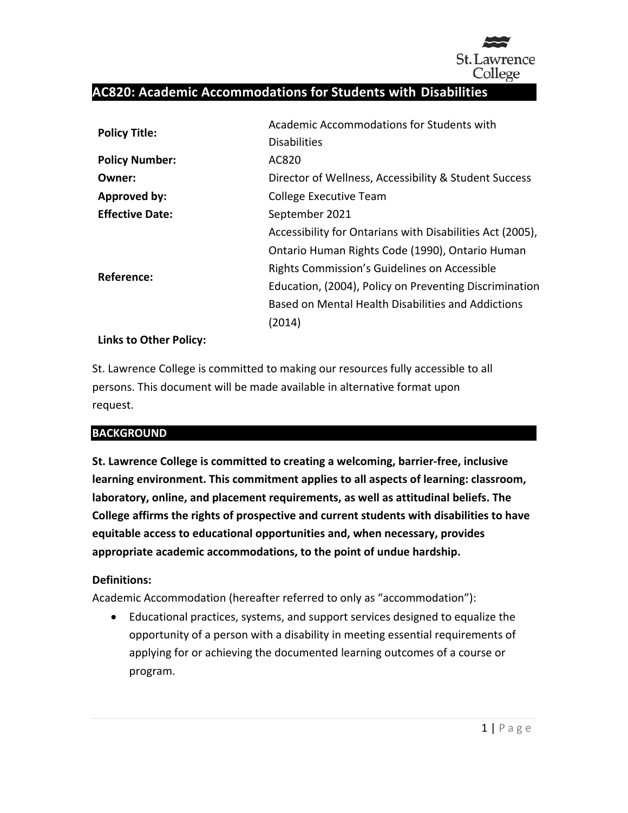

# **AC820: Academic Accommodations for Students with Disabilities**

| <b>Policy Title:</b>   | Academic Accommodations for Students with                 |
|------------------------|-----------------------------------------------------------|
|                        | <b>Disabilities</b>                                       |
| <b>Policy Number:</b>  | AC820                                                     |
| Owner:                 | Director of Wellness, Accessibility & Student Success     |
| <b>Approved by:</b>    | <b>College Executive Team</b>                             |
| <b>Effective Date:</b> | September 2021                                            |
| Reference:             | Accessibility for Ontarians with Disabilities Act (2005), |
|                        | Ontario Human Rights Code (1990), Ontario Human           |
|                        | <b>Rights Commission's Guidelines on Accessible</b>       |
|                        | Education, (2004), Policy on Preventing Discrimination    |
|                        | Based on Mental Health Disabilities and Addictions        |
|                        | (2014)                                                    |

#### **Links to Other Policy:**

St. Lawrence College is committed to making our resources fully accessible to all persons. This document will be made available in alternative format upon request.

#### **BACKGROUND**

**St. Lawrence College is committed to creating a welcoming, barrier-free, inclusive learning environment. This commitment applies to all aspects of learning: classroom, laboratory, online, and placement requirements, as well as attitudinal beliefs. The College affirms the rights of prospective and current students with disabilities to have equitable access to educational opportunities and, when necessary, provides appropriate academic accommodations, to the point of undue hardship.**

#### **Definitions:**

Academic Accommodation (hereafter referred to only as "accommodation"):

• Educational practices, systems, and support services designed to equalize the opportunity of a person with a disability in meeting essential requirements of applying for or achieving the documented learning outcomes of a course or program.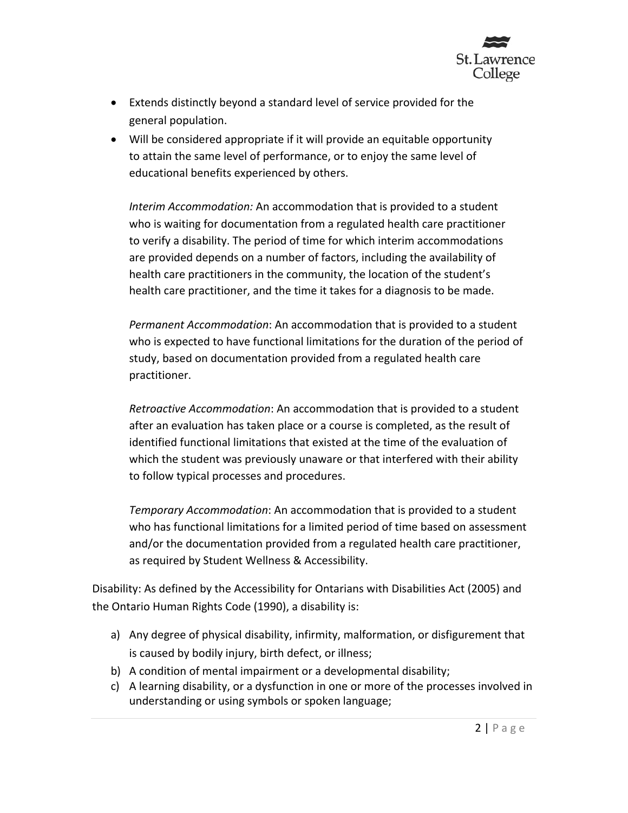

- Extends distinctly beyond a standard level of service provided for the general population.
- Will be considered appropriate if it will provide an equitable opportunity to attain the same level of performance, or to enjoy the same level of educational benefits experienced by others.

*Interim Accommodation:* An accommodation that is provided to a student who is waiting for documentation from a regulated health care practitioner to verify a disability. The period of time for which interim accommodations are provided depends on a number of factors, including the availability of health care practitioners in the community, the location of the student's health care practitioner, and the time it takes for a diagnosis to be made.

*Permanent Accommodation*: An accommodation that is provided to a student who is expected to have functional limitations for the duration of the period of study, based on documentation provided from a regulated health care practitioner.

*Retroactive Accommodation*: An accommodation that is provided to a student after an evaluation has taken place or a course is completed, as the result of identified functional limitations that existed at the time of the evaluation of which the student was previously unaware or that interfered with their ability to follow typical processes and procedures.

*Temporary Accommodation*: An accommodation that is provided to a student who has functional limitations for a limited period of time based on assessment and/or the documentation provided from a regulated health care practitioner, as required by Student Wellness & Accessibility.

Disability: As defined by the Accessibility for Ontarians with Disabilities Act (2005) and the Ontario Human Rights Code (1990), a disability is:

- a) Any degree of physical disability, infirmity, malformation, or disfigurement that is caused by bodily injury, birth defect, or illness;
- b) A condition of mental impairment or a developmental disability;
- c) A learning disability, or a dysfunction in one or more of the processes involved in understanding or using symbols or spoken language;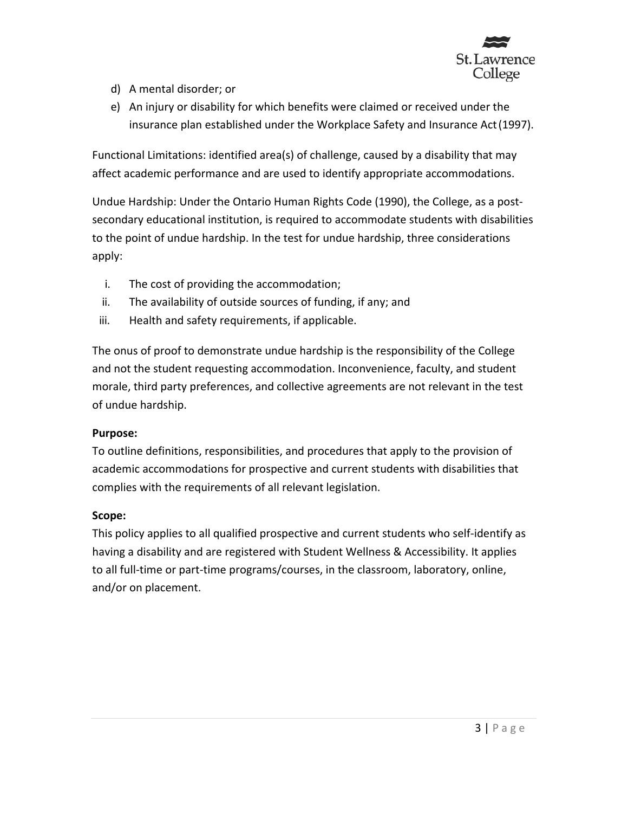

- d) A mental disorder; or
- e) An injury or disability for which benefits were claimed or received under the insurance plan established under the Workplace Safety and Insurance Act(1997).

Functional Limitations: identified area(s) of challenge, caused by a disability that may affect academic performance and are used to identify appropriate accommodations.

Undue Hardship: Under the Ontario Human Rights Code (1990), the College, as a postsecondary educational institution, is required to accommodate students with disabilities to the point of undue hardship. In the test for undue hardship, three considerations apply:

- i. The cost of providing the accommodation;
- ii. The availability of outside sources of funding, if any; and
- iii. Health and safety requirements, if applicable.

The onus of proof to demonstrate undue hardship is the responsibility of the College and not the student requesting accommodation. Inconvenience, faculty, and student morale, third party preferences, and collective agreements are not relevant in the test of undue hardship.

## **Purpose:**

To outline definitions, responsibilities, and procedures that apply to the provision of academic accommodations for prospective and current students with disabilities that complies with the requirements of all relevant legislation.

## **Scope:**

This policy applies to all qualified prospective and current students who self-identify as having a disability and are registered with Student Wellness & Accessibility. It applies to all full-time or part-time programs/courses, in the classroom, laboratory, online, and/or on placement.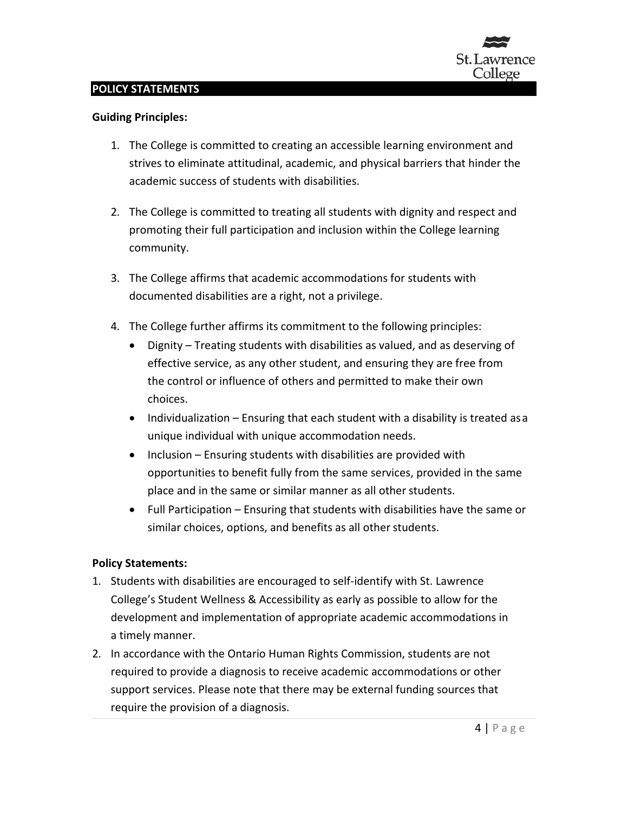

#### **POLICY STATEMENTS**

#### **Guiding Principles:**

- 1. The College is committed to creating an accessible learning environment and strives to eliminate attitudinal, academic, and physical barriers that hinder the academic success of students with disabilities.
- 2. The College is committed to treating all students with dignity and respect and promoting their full participation and inclusion within the College learning community.
- 3. The College affirms that academic accommodations for students with documented disabilities are a right, not a privilege.
- 4. The College further affirms its commitment to the following principles:
	- Dignity Treating students with disabilities as valued, and as deserving of effective service, as any other student, and ensuring they are free from the control or influence of others and permitted to make their own choices.
	- Individualization Ensuring that each student with a disability is treated as a unique individual with unique accommodation needs.
	- Inclusion Ensuring students with disabilities are provided with opportunities to benefit fully from the same services, provided in the same place and in the same or similar manner as all other students.
	- Full Participation Ensuring that students with disabilities have the same or similar choices, options, and benefits as all other students.

#### **Policy Statements:**

- 1. Students with disabilities are encouraged to self-identify with St. Lawrence College's Student Wellness & Accessibility as early as possible to allow for the development and implementation of appropriate academic accommodations in a timely manner.
- 2. In accordance with the Ontario Human Rights Commission, students are not required to provide a diagnosis to receive academic accommodations or other support services. Please note that there may be external funding sources that require the provision of a diagnosis.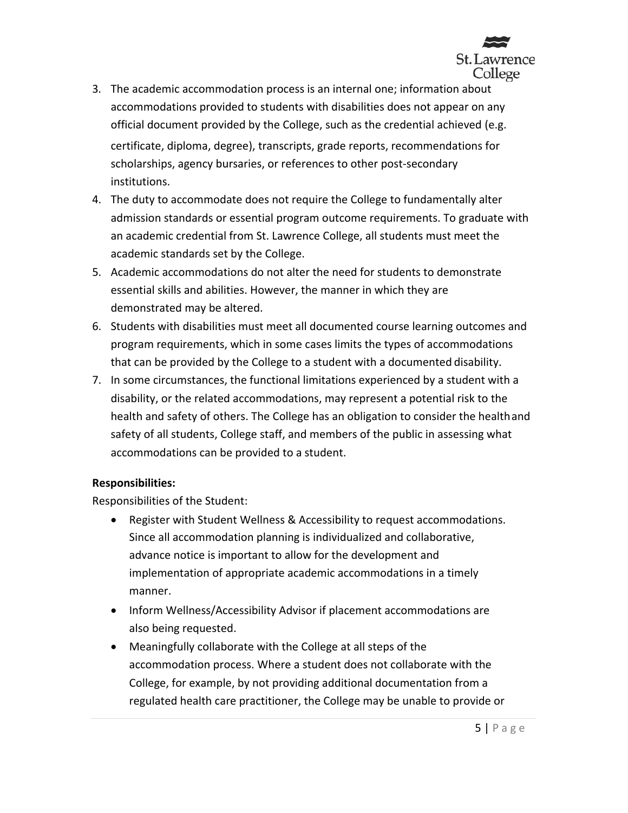

- 3. The academic accommodation process is an internal one; information about accommodations provided to students with disabilities does not appear on any official document provided by the College, such as the credential achieved (e.g. certificate, diploma, degree), transcripts, grade reports, recommendations for scholarships, agency bursaries, or references to other post-secondary institutions.
- 4. The duty to accommodate does not require the College to fundamentally alter admission standards or essential program outcome requirements. To graduate with an academic credential from St. Lawrence College, all students must meet the academic standards set by the College.
- 5. Academic accommodations do not alter the need for students to demonstrate essential skills and abilities. However, the manner in which they are demonstrated may be altered.
- 6. Students with disabilities must meet all documented course learning outcomes and program requirements, which in some cases limits the types of accommodations that can be provided by the College to a student with a documented disability.
- 7. In some circumstances, the functional limitations experienced by a student with a disability, or the related accommodations, may represent a potential risk to the health and safety of others. The College has an obligation to consider the healthand safety of all students, College staff, and members of the public in assessing what accommodations can be provided to a student.

#### **Responsibilities:**

Responsibilities of the Student:

- Register with Student Wellness & Accessibility to request accommodations. Since all accommodation planning is individualized and collaborative, advance notice is important to allow for the development and implementation of appropriate academic accommodations in a timely manner.
- Inform Wellness/Accessibility Advisor if placement accommodations are also being requested.
- Meaningfully collaborate with the College at all steps of the accommodation process. Where a student does not collaborate with the College, for example, by not providing additional documentation from a regulated health care practitioner, the College may be unable to provide or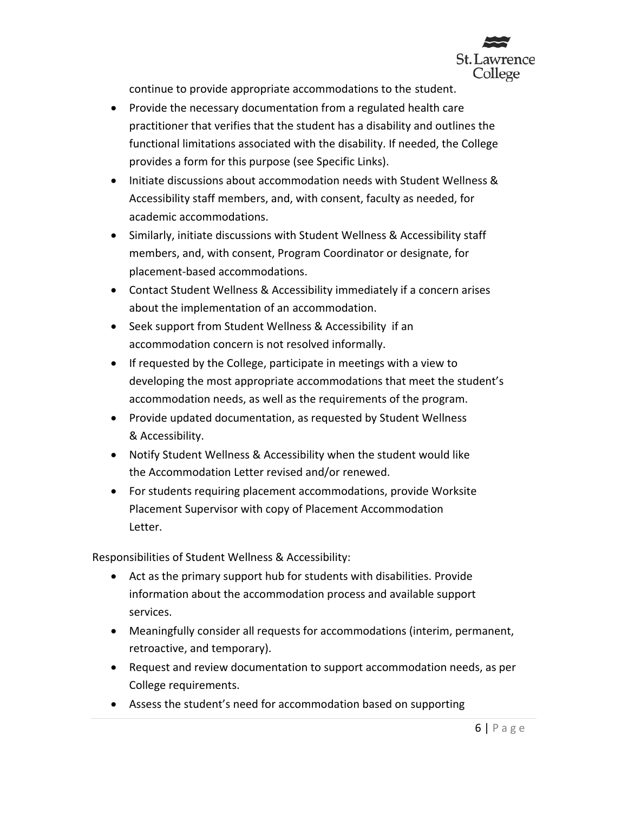

continue to provide appropriate accommodations to the student.

- Provide the necessary documentation from a regulated health care practitioner that verifies that the student has a disability and outlines the functional limitations associated with the disability. If needed, the College provides a form for this purpose (see Specific Links).
- Initiate discussions about accommodation needs with Student Wellness & Accessibility staff members, and, with consent, faculty as needed, for academic accommodations.
- Similarly, initiate discussions with Student Wellness & Accessibility staff members, and, with consent, Program Coordinator or designate, for placement-based accommodations.
- Contact Student Wellness & Accessibility immediately if a concern arises about the implementation of an accommodation.
- Seek support from Student Wellness & Accessibility if an accommodation concern is not resolved informally.
- If requested by the College, participate in meetings with a view to developing the most appropriate accommodations that meet the student's accommodation needs, as well as the requirements of the program.
- Provide updated documentation, as requested by Student Wellness & Accessibility.
- Notify Student Wellness & Accessibility when the student would like the Accommodation Letter revised and/or renewed.
- For students requiring placement accommodations, provide Worksite Placement Supervisor with copy of Placement Accommodation Letter.

Responsibilities of Student Wellness & Accessibility:

- Act as the primary support hub for students with disabilities. Provide information about the accommodation process and available support services.
- Meaningfully consider all requests for accommodations (interim, permanent, retroactive, and temporary).
- Request and review documentation to support accommodation needs, as per College requirements.
- Assess the student's need for accommodation based on supporting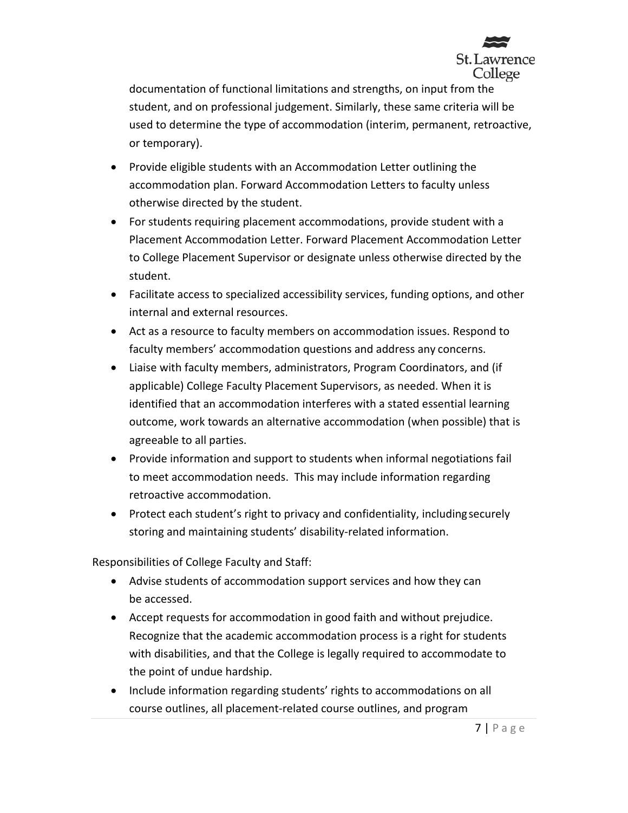

documentation of functional limitations and strengths, on input from the student, and on professional judgement. Similarly, these same criteria will be used to determine the type of accommodation (interim, permanent, retroactive, or temporary).

- Provide eligible students with an Accommodation Letter outlining the accommodation plan. Forward Accommodation Letters to faculty unless otherwise directed by the student.
- For students requiring placement accommodations, provide student with a Placement Accommodation Letter. Forward Placement Accommodation Letter to College Placement Supervisor or designate unless otherwise directed by the student.
- Facilitate access to specialized accessibility services, funding options, and other internal and external resources.
- Act as a resource to faculty members on accommodation issues. Respond to faculty members' accommodation questions and address any concerns.
- Liaise with faculty members, administrators, Program Coordinators, and (if applicable) College Faculty Placement Supervisors, as needed. When it is identified that an accommodation interferes with a stated essential learning outcome, work towards an alternative accommodation (when possible) that is agreeable to all parties.
- Provide information and support to students when informal negotiations fail to meet accommodation needs. This may include information regarding retroactive accommodation.
- Protect each student's right to privacy and confidentiality, including securely storing and maintaining students' disability-related information.

Responsibilities of College Faculty and Staff:

- Advise students of accommodation support services and how they can be accessed.
- Accept requests for accommodation in good faith and without prejudice. Recognize that the academic accommodation process is a right for students with disabilities, and that the College is legally required to accommodate to the point of undue hardship.
- Include information regarding students' rights to accommodations on all course outlines, all placement-related course outlines, and program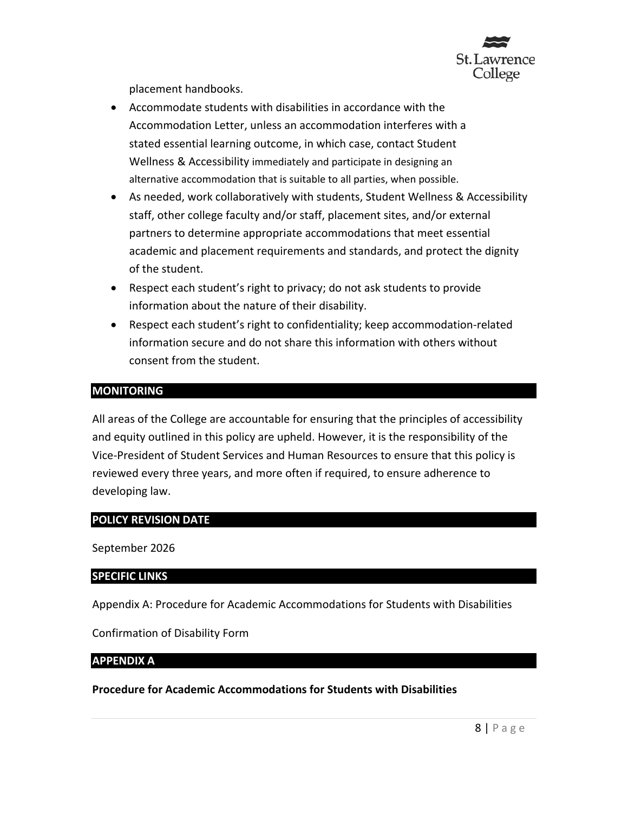

placement handbooks.

- Accommodate students with disabilities in accordance with the Accommodation Letter, unless an accommodation interferes with a stated essential learning outcome, in which case, contact Student Wellness & Accessibility immediately and participate in designing an alternative accommodation that is suitable to all parties, when possible.
- As needed, work collaboratively with students, Student Wellness & Accessibility staff, other college faculty and/or staff, placement sites, and/or external partners to determine appropriate accommodations that meet essential academic and placement requirements and standards, and protect the dignity of the student.
- Respect each student's right to privacy; do not ask students to provide information about the nature of their disability.
- Respect each student's right to confidentiality; keep accommodation-related information secure and do not share this information with others without consent from the student.

#### **MONITORING**

All areas of the College are accountable for ensuring that the principles of accessibility and equity outlined in this policy are upheld. However, it is the responsibility of the Vice-President of Student Services and Human Resources to ensure that this policy is reviewed every three years, and more often if required, to ensure adherence to developing law.

#### **POLICY REVISION DATE**

September 2026

#### **SPECIFIC LINKS**

Appendix A: Procedure for Academic Accommodations for Students with Disabilities

Confirmation of Disability Form

#### **APPENDIX A**

**Procedure for Academic Accommodations for Students with Disabilities**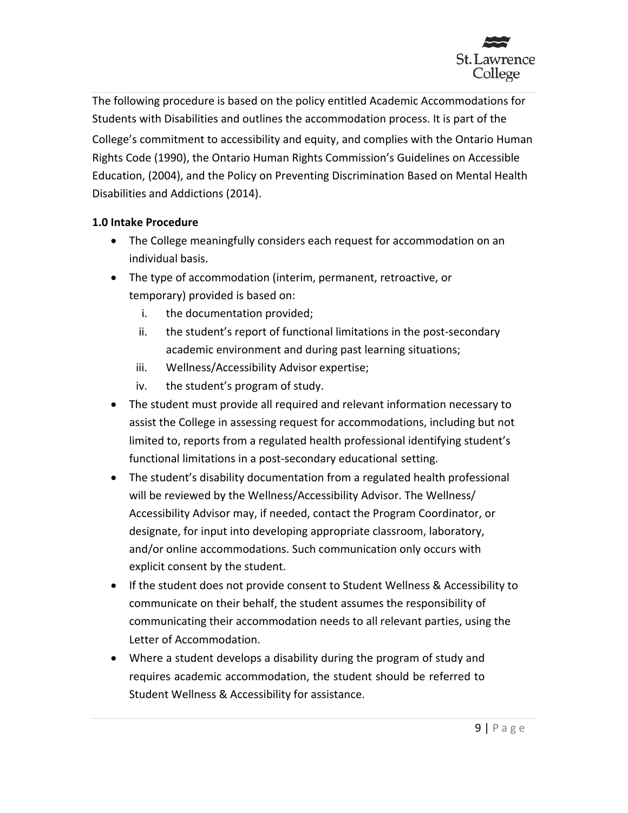

The following procedure is based on the policy entitled Academic Accommodations for Students with Disabilities and outlines the accommodation process. It is part of the College's commitment to accessibility and equity, and complies with the Ontario Human Rights Code (1990), the Ontario Human Rights Commission's Guidelines on Accessible Education, (2004), and the Policy on Preventing Discrimination Based on Mental Health Disabilities and Addictions (2014).

## **1.0 Intake Procedure**

- The College meaningfully considers each request for accommodation on an individual basis.
- The type of accommodation (interim, permanent, retroactive, or temporary) provided is based on:
	- i. the documentation provided;
	- ii. the student's report of functional limitations in the post-secondary academic environment and during past learning situations;
	- iii. Wellness/Accessibility Advisor expertise;
	- iv. the student's program of study.
- The student must provide all required and relevant information necessary to assist the College in assessing request for accommodations, including but not limited to, reports from a regulated health professional identifying student's functional limitations in a post-secondary educational setting.
- The student's disability documentation from a regulated health professional will be reviewed by the Wellness/Accessibility Advisor. The Wellness/ Accessibility Advisor may, if needed, contact the Program Coordinator, or designate, for input into developing appropriate classroom, laboratory, and/or online accommodations. Such communication only occurs with explicit consent by the student.
- If the student does not provide consent to Student Wellness & Accessibility to communicate on their behalf, the student assumes the responsibility of communicating their accommodation needs to all relevant parties, using the Letter of Accommodation.
- Where a student develops a disability during the program of study and requires academic accommodation, the student should be referred to Student Wellness & Accessibility for assistance.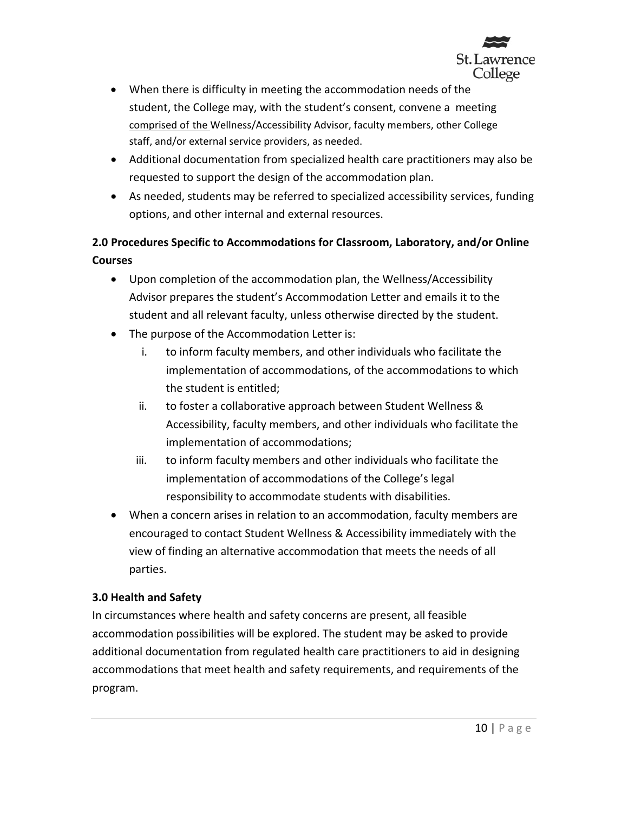

- When there is difficulty in meeting the accommodation needs of the student, the College may, with the student's consent, convene a meeting comprised of the Wellness/Accessibility Advisor, faculty members, other College staff, and/or external service providers, as needed.
- Additional documentation from specialized health care practitioners may also be requested to support the design of the accommodation plan.
- As needed, students may be referred to specialized accessibility services, funding options, and other internal and external resources.

# **2.0 Procedures Specific to Accommodations for Classroom, Laboratory, and/or Online Courses**

- Upon completion of the accommodation plan, the Wellness/Accessibility Advisor prepares the student's Accommodation Letter and emails it to the student and all relevant faculty, unless otherwise directed by the student.
- The purpose of the Accommodation Letter is:
	- i. to inform faculty members, and other individuals who facilitate the implementation of accommodations, of the accommodations to which the student is entitled;
	- ii. to foster a collaborative approach between Student Wellness & Accessibility, faculty members, and other individuals who facilitate the implementation of accommodations;
	- iii. to inform faculty members and other individuals who facilitate the implementation of accommodations of the College's legal responsibility to accommodate students with disabilities.
- When a concern arises in relation to an accommodation, faculty members are encouraged to contact Student Wellness & Accessibility immediately with the view of finding an alternative accommodation that meets the needs of all parties.

## **3.0 Health and Safety**

In circumstances where health and safety concerns are present, all feasible accommodation possibilities will be explored. The student may be asked to provide additional documentation from regulated health care practitioners to aid in designing accommodations that meet health and safety requirements, and requirements of the program.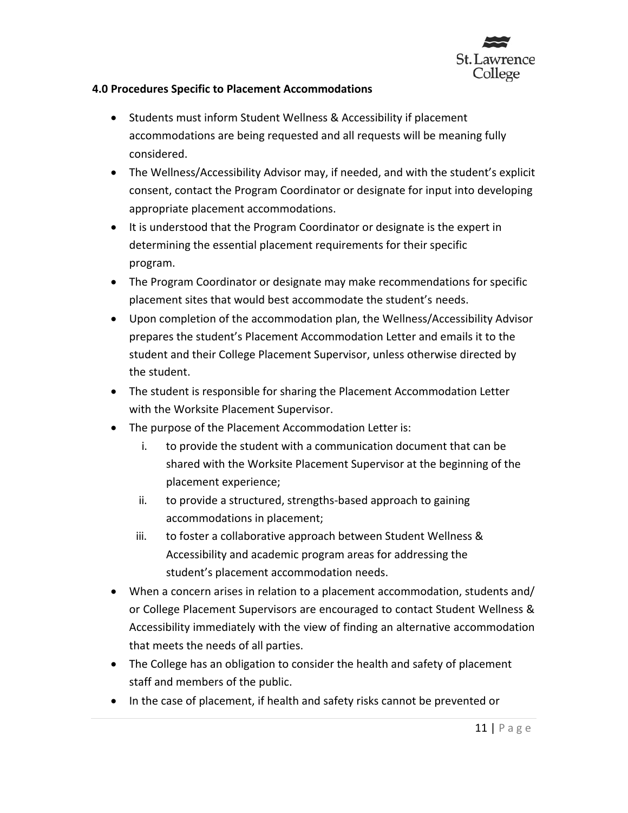

#### **4.0 Procedures Specific to Placement Accommodations**

- Students must inform Student Wellness & Accessibility if placement accommodations are being requested and all requests will be meaning fully considered.
- The Wellness/Accessibility Advisor may, if needed, and with the student's explicit consent, contact the Program Coordinator or designate for input into developing appropriate placement accommodations.
- It is understood that the Program Coordinator or designate is the expert in determining the essential placement requirements for their specific program.
- The Program Coordinator or designate may make recommendations for specific placement sites that would best accommodate the student's needs.
- Upon completion of the accommodation plan, the Wellness/Accessibility Advisor prepares the student's Placement Accommodation Letter and emails it to the student and their College Placement Supervisor, unless otherwise directed by the student.
- The student is responsible for sharing the Placement Accommodation Letter with the Worksite Placement Supervisor.
- The purpose of the Placement Accommodation Letter is:
	- i. to provide the student with a communication document that can be shared with the Worksite Placement Supervisor at the beginning of the placement experience;
	- ii. to provide a structured, strengths-based approach to gaining accommodations in placement;
	- iii. to foster a collaborative approach between Student Wellness & Accessibility and academic program areas for addressing the student's placement accommodation needs.
- When a concern arises in relation to a placement accommodation, students and/ or College Placement Supervisors are encouraged to contact Student Wellness & Accessibility immediately with the view of finding an alternative accommodation that meets the needs of all parties.
- The College has an obligation to consider the health and safety of placement staff and members of the public.
- In the case of placement, if health and safety risks cannot be prevented or